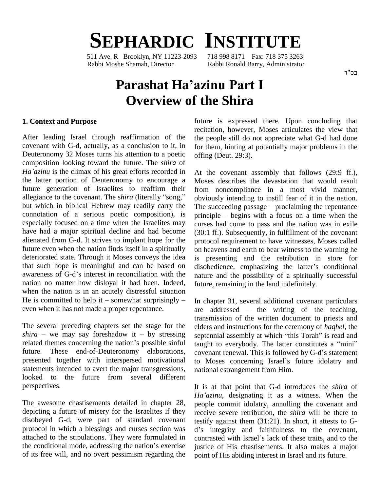# **SEPHARDIC INSTITUTE**

511 Ave. R Brooklyn, NY 11223-2093 Rabbi Moshe Shamah, Director Rabbi Ronald Barry, Administrator

## **Parashat Haíazinu Part <sup>I</sup> Overview of the Shira**

#### **1. Context and Purpose**

After leading Israel through reaffirmation of the covenant with G-d, actually, as a conclusion to it, in Deuteronomy 32 Moses turns his attention to a poetic composition looking toward the future. The *shira* of *Haíazinu* is the climax of his great efforts recorded in the latter portion of Deuteronomy to encourage a future generation of Israelites to reaffirm their allegiance to the covenant. The *shira* (literally "song," but which in biblical Hebrew may readily carry the The succeeding passage – proclaiming the repentance connotation of a serious poetic composition), is especially focused on a time when the Israelites may have had a major spiritual decline and had become alienated from G-d. It strives to implant hope for the future even when the nation finds itself in a spiritually deteriorated state. Through it Moses conveys the idea is p<br>that such hope is meaningful and can be based on disob<br>awareness of G-d's interest in reconciliation with the natur that such hope is meaningful and can be based on disobedience, emphasizing the latter's conditional nation no matter how disloyal it had been. Indeed, when the nation is in an acutely distressful situation He is committed to help it  $-$  somewhat surprisingly  $$ even when it has not made a proper repentance.

The several preceding chapters set the stage for the The several preceding chapters set the stage for the elders *shira* – we may say foreshadow it – by stressing septen The several preceding chapters set the stage for the elements of the nation is the stage of themes concerning the nation is possible sinful the themes concerning the nation is possible sinful future. These end-of-Deuteronomy elaborations, covenant renewal. This is followed by G-d's statement presented together with interspersed motivational to Moses concerning Israel's future idolatry and statements intended to avert the major transgressions, looked to the future from several different perspectives.

The awesome chastisements detailed in chapter 28, depicting a future of misery for the Israelites if they disobeyed G-d, were part of standard covenant protocol in which a blessings and curses section was d's<br>attached to the stipulations. They were formulated in contr<br>the conditional mode, addressing the nation's exercise justic attached to the stipulations. They were formulated in contrasted with Israel's lack of these traits, and to the of its free will, and no overt pessimism regarding the

future is expressed there. Upon concluding that recitation, however, Moses articulates the view that the people still do not appreciate what G-d had done for them, hinting at potentially major problems in the offing (Deut. 29:3).

At the covenant assembly that follows (29:9 ff.), Moses describes the devastation that would result from noncompliance in a most vivid manner, obviously intending to instill fear of it in the nation. from noncompliance in a most vivid manner,<br>obviously intending to instill fear of it in the nation.<br>The succeeding passage – proclaiming the repentance principle  $-$  begins with a focus on a time when the curses had come to pass and the nation was in exile (30:1 ff.). Subsequently, in fulfillment of the covenant protocol requirement to have witnesses, Moses called on heavens and earth to bear witness to the warning he<br>is presenting and the retribution in store for<br>disobedience, emphasizing the latter's conditional is presenting and the retribution in store for nature and the possibility of a spiritually successful future, remaining in the land indefinitely.

In chapter 31, several additional covenant particulars In chapter 31, several additional covenant particulars<br>are  $\alpha$  addressed  $\alpha$  the writing of the teaching, transmission of the written document to priests and elders and instructions for the ceremony of *haqhel*, the transmission of the written document to priests and<br>elders and instructions for the ceremony of *haqhel*, the<br>septennial assembly at which "this Torah" is read and elders and instructions for the ceremony of *haqhel*, the septennial assembly at which "this Torah" is read and taught to everybody. The latter constitutes a "mini" septennial assembly at which "this Torah" is read and<br>taught to everybody. The latter constitutes a "mini"<br>covenant renewal. This is followed by G-d's statement taught to everybody. The latter constitutes a "mini"<br>covenant renewal. This is followed by G-d's statement<br>to Moses concerning Israel's future idolatry and national estrangement from Him.

It is at that point that G-d introduces the *shira* of *Haíazinu*, designating it as <sup>a</sup> witness. When the people commit idolatry, annulling the covenant and receive severe retribution, the *shira* will be there to testify against them (31:21). In short, it attests to G receive severe retribution, the *shira* will be there to testify against them (31:21). In short, it attests to G-<br>d's integrity and faithfulness to the covenant, testify against them (31:21). In short, it attests to G-<br>d's integrity and faithfulness to the covenant,<br>contrasted with Israel's lack of these traits, and to the justice of His chastisements. It also makes a major point of His abiding interest in Israel and its future.

בס"ד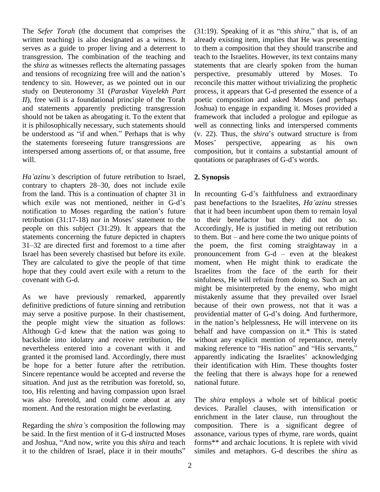The *Sefer Torah* (the document that comprises the written teaching) is also designated as a witness. It serves as a guide to proper living and a deterrent to transgression. The combination of the teaching and teach the *shira* as witnesses reflects the alternating passages statem and tensions of recognizing free will and the nation's perspe the *shira* as witnesses reflects the alternating passages tendency to sin.However, as we pointed out in our study on Deuteronomy 31 (*Parashat Vayelekh Part II*), free will is a foundational principle of the Torah and statements apparently predicting transgression should not be taken as abrogating it. To the extent that it is philosophically necessary, such statements should be understood as "if and when." Perhaps that is why  $(v. 22)$ . Thus, the *shira*'s outward structure is from the statements foreseeing future transgressions are Moses' interspersed among assertions of, or that assume, free will. *Ha*<sup>*'azinu*<sup>'</sup>*s* description of future retribution to Israel, **2. Synopsis** 2. *2. Synopsis*</sup>

Ha'azinu's description of future retribution to Israel, 2. Sy<br>contrary to chapters 28–30, does not include exile from the land. This is a continuation of chapter 31 in contrary to chapters 28–30, does not include exile<br>from the land. This is a continuation of chapter 31 in In 1<br>which exile was not mentioned, neither in G-d's past from the land. This is a continuation of chapter 31 in In re<br>which exile was not mentioned, neither in G-d's past<br>notification to Moses regarding the nation's future that i which exile was not mentioned, neither in G-d's past<br>notification to Moses regarding the nation's future that if<br>retribution (31:17-18) nor in Moses' statement to the to the people on this subject (31:29). It appears that the statements concerning the future depicted in chapters to the people on this subject (31:29). It appears that the Acstatements concerning the future depicted in chapters to the 31–32 are directed first and foremost to a time after the Israel has been severely chastised but before its exile. pronouncement from  $G-d - even$  at the bleakest They are calculated to give the people of that time hope that they could avert exile with a return to the covenant with G-d.

As we have previously remarked, apparently definitive predictions of future sinning and retribution may serve a positive purpose. In their chastisement, providential matter of G-d's doing. And furthermore, the people might view the situation as follows: in the nation's helplessness, He will intervene on its Although G-d knew that the nation was going to backslide into idolatry and receive retribution, He nevertheless entered into a covenant with it and making reference to "His nation" and "His servants," granted it the promised land. Accordingly, there must apparently indicating the Israelites' acknowledging be hope for a better future after the retribution. Sincere repentance would be accepted and reverse the situation. And just as the retribution was foretold, so, too, His relenting and having compassion upon Israel was also foretold, and could come about at any moment. And the restoration might be everlasting.

Regarding the *shiraí<sup>s</sup>* composition the following may be said. In the first mention of it G-d instructed Moses Regarding the *shira's* composition the following may composition of it G-d instructed Moses assonand Joshua, "And now, write you this *shira* and teach forms be said. In the first mention of it G-d instructed Moses assort<br>and Joshua, "And now, write you this *shira* and teach form:<br>it to the children of Israel, place it in their mouths" simil

 $(31:19)$ . Speaking of it as "this *shira*," that is, of an already existing item, implies that He was presenting to them a composition that they should transcribe and teach to the Israelites. However, its text contains many statements that are clearly spoken from the human perspective, presumably uttered by Moses. To reconcile this matter without trivializing the prophetic process, it appears that G-d presented the essence of a poetic composition and asked Moses (and perhaps Joshua) to engage in expanding it. Moses provided a framework that included a prologue and epilogue as (v. 22). Thus, the *shira*í<sup>s</sup> outward structure is from well as connecting links and interspersed comments<br>
(v. 22). Thus, the *shira*'s outward structure is from<br>
Moses' perspective, appearing as his own composition, but it contains a substantial amount of Moses' perspective, appearing as his<br>composition, but it contains a substantial and<br>quotations or paraphrases of G-d's words.

### **2. Synopsis**

In recounting G-d's faithfulness and extraordinary past benefactions to the Israelites, *Haíazinu* stresses that it had been incumbent upon them to remain loyal to their benefactor but they did not do so.<br>Accordingly, He is justified in meting out retribution<br>to them. But – and here come the two unique points of Accordingly, He is justified in meting out retribution the poem, the first coming straightaway in a to them. But – and here come the two unique points of<br>the poem, the first coming straight away in a<br>pronouncement from G-d – even at the bleakest moment, when He might think to eradicate the Israelites from the face of the earth for their sinfulness, He will refrain from doing so. Such an act might be misinterpreted by the enemy, who might mistakenly assume that they prevailed over Israel<br>because of their own prowess, not that it was a<br>providential matter of G-d's doing. And furthermore, because of their own prowess, not that it was a<br>providential matter of G-d's doing. And furthermore,<br>in the nation's helplessness, He will intervene on its behalf and have compassion on it.\* This is stated without any explicit mention of repentance, merely making reference to "His nation" and "His servants," without any explicit mention of repentance, merely<br>making reference to "His nation" and "His servants,"<br>apparently indicating the Israelites' acknowledging their identification with Him. These thoughts foster the feeling that there is always hope for a renewed national future.

The *shira* employs a whole set of biblical poetic devices. Parallel clauses, with intensification or enrichment in the later clause, run throughout the composition. There is a significant degree of assonance, various types of rhyme, rare words, quaint forms\*\* and archaic locutions. It is replete with vivid similes and metaphors. G-d describes the *shira* as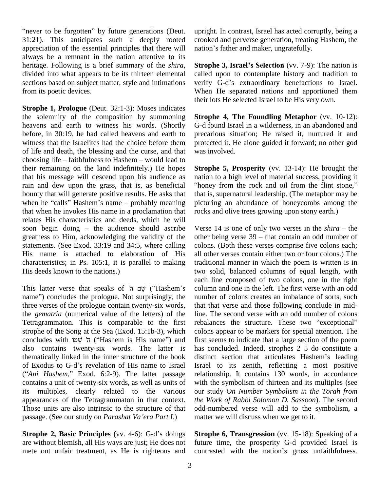"never to be forgotten" by future generations (Deut. 31:21). This anticipates such a deeply rooted appreciation of the essential principles that there will nation's father and maker, ungratefully. always be a remnant in the nation attentive to its heritage. Following is a brief summary of the *shira*, divided into what appears to be its thirteen elemental sections based on subject matter, style and intimations verify G-d's extraordinary benefactions to Israel. from its poetic devices.

**Strophe 1, Prologue** (Deut. 32:1-3): Moses indicates the solemnity of the composition by summoning heavens and earth to witness his words. (Shortly before, in 30:19, he had called heavens and earth to witness that the Israelites had the choice before them of life and death, the blessing and the curse, and that choosing life  $-$  faithfulness to Hashem  $-$  would lead to their remaining on the land indefinitely.) He hopes that his message will descend upon his audience as rain and dew upon the grass, that is, as beneficial "honey from the rock and oil from the flint stone," bounty that will generate positive results. He asks that the rain and dew upon the grass, that is, as beneficial "hone<br>bounty that will generate positive results. He asks that that is<br>when he "calls" Hashem's name – probably meaning picturi that when he invokes His name in a proclamation that<br>relates His characteristics and deeds, which he will<br>soon begin doing – the audience should ascribe Verse relates His characteristics and deeds, which he will greatness to Him, acknowledging the validity of the statements. (See Exod. 33:19 and 34:5, where calling His name is attached to elaboration of His characteristics; in Ps. 105:1, it is parallel to making His deeds known to the nations.) two two the nations.) two two the nations.<br>
This latter verse that speaks of '<del>u</del> שֵׂם ("Hashem's colu") ʤ

each<br>Colur gianter verse that speaks of שם ה' ("Hashem's colur<br>name") concludes the prologue. Not surprisingly, the numb three verses of the prologue contain twenty-six words, the *gematria* (numerical value of the letters) of the Tetragrammaton. This is comparable to the first rebala<br>strophe of the Song at the Sea (Exod. 15:1b-3), which colons<br>concludes with שְׁמוֹ ("Hashem is His name") and first se strophe of the Song at the Sea (Exod. 15:1b-3), which also contains twenty-six words. The latter is has<br>thematically linked in the inner structure of the book disti<br>of Exodus to G-d's revelation of His name to Israel Israe thematically linked in the inner structure of the book of Exodus to G-d's revelation of His name to Israel ("*Ani Hashem*," Exod. 6:2-9). The latter passage contains a unit of twenty-six words, as well as units of its multiples, clearly related to the various appearances of the Tetragrammaton in that context. Those units are also intrinsic to the structure of that appearances of the Tetragrammaton in that context.<br>Those units are also intrinsic to the structure of that passage. (See our study on *Parashat Va 'era Part I*.) **Strophe 2, Basic Principles** (vv. 4-6): G-d's doings **Strophe 2, Basic Principles** (vv. 4-6): G-d's doings **Stro** 

are without blemish, all His ways are just; He does not mete out unfair treatment, as He is righteous and contrasted with the nation's gross unfaithfulness.

upright. In contrast, Israel has acted corruptly, being a crooked and perverse generation, treating Hashem, the upright. In contrast, Israel has acted corrupt<br>crooked and perverse generation, treating Hanation's father and maker, ungratefully.

**Strophe 3, Israelís Selection** (vv. 7-9): The nation is called upon to contemplate history and tradition to **Strophe 3, Israel's Selection** (vv. 7-9): The nation is called upon to contemplate history and tradition to verify G-d's extraordinary benefactions to Israel. When He separated nations and apportioned them their lots He selected Israel to be His very own.

**Strophe 4, The Foundling Metaphor** (vv. 10-12): G-d found Israel in a wilderness, in an abandoned and precarious situation; He raised it, nurtured it and protected it. He alone guided it forward; no other god was involved.

**Strophe 5, Prosperity** (vv. 13-14): He brought the **Strophe 5, Prosperity** (vv. 13-14): He brought the nation to a high level of material success, providing it "honey from the rock and oil from the flint stone," that is, supernatural leadership. (The metaphor may be picturing an abundance of honeycombs among the rocks and olive trees growing upon stony earth.)

Verse 14 is one of only two verses in the  $\textit{shira}$  – the other being verse  $39$  – that contain an odd number of colons. (Both these verses comprise five colons each; all other verses contain either two or four colons.) The traditional manner in which the poem is written is in two solid, balanced columns of equal length, with each line composed of two colons, one in the right column and one in the left. The first verse with an odd number of colons creates an imbalance of sorts, such that that verse and those following conclude in mid-<br>line. The second verse with an odd number of colons<br>rebalances the structure. These two "exceptional" line. The second verse with an odd number of colons colons appear to be markers for special attention. The first seems to indicate that a large section of the poem colons appear to be markers for special attention. The<br>first seems to indicate that a large section of the poem<br>has concluded. Indeed, strophes 2–5 do constitute a first seems to indicate that a large section of the poem<br>has concluded. Indeed, strophes 2–5 do constitute a<br>distinct section that articulates Hashem's leading Israel to its zenith, reflecting a most positive relationship. It contains 130 words, in accordance with the symbolism of thirteen and its multiples (see our study *On Number Symbolism in the Torah from the Work of Rabbi Solomon D. Sassoon*). The second odd-numbered verse will add to the symbolism, a matter we will discuss when we get to it.

**Strophe 6, Transgression** (vv. 15-18): Speaking of a future time, the prosperity G-d provided Israel is **Strophe 6, Transgression** (vv. 15-18): Speaking of a future time, the prosperity G-d provided Israel is contrasted with the nation's gross unfaithfulness.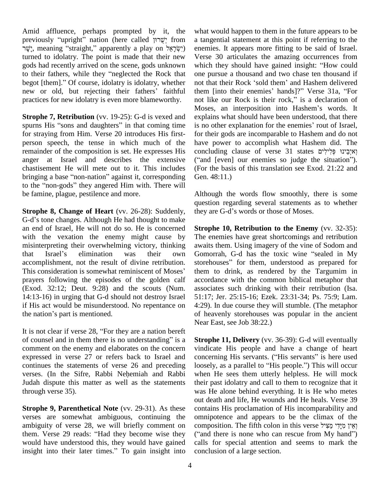Amid affluence, perhaps prompted by it, the what previously "upright" nation (here called "שְׂרוּן from ישׁר, meaning "straight," apparently a play on ישׂר) turned to idolatry. The point is made that their new gods had recently arrived on the scene, gods unknown turned to idolatry. The point is made that their new V<br>gods had recently arrived on the scene, gods unknown wh<br>to their fathers, while they "neglected the Rock that gods had recently arrived on the scene, gods unknown wh<br>to their fathers, while they "neglected the Rock that one<br>begot [them]." Of course, idolatry is idolatry, whether not to their fathers, while they "neglected the Rock that or<br>begot [them]." Of course, idolatry is idolatry, whether no<br>new or old, but rejecting their fathers' faithful th practices for new idolatry is even more blameworthy. not like our Rock is their rock," is a declaration of

**Strophe 7, Retribution** (vv. 19-25): G-d is vexed and spurns His "sons and daughters" in that coming time is no other explanation for the enemies' rout of Israel, for straying from Him. Verse 20 introduces His first person speech, the tense in which much of the remainder of the composition is set. He expresses His anger at Israel and describes the extensive ("and [even] our enemies so judge the situation"). chastisement He will mete out to it. This includes anger at Israel and describes the extensive ("and chastisement He will mete out to it. This includes (For the bringing a base "non-nation" against it, corresponding Gen. 4 chastisement He will mete out to it. This includes (F<br>bringing a base "non-nation" against it, corresponding G<br>to the "non-gods" they angered Him with. There will be famine, plague, pestilence and more.

**Strophe 8, Change of Heart** (vv. 26-28): Suddenly, G-d's tone changes. Although He had thought to make an end of Israel, He will not do so. He is concerned with the vexation the enemy might cause by The enemisinterpreting their overwhelming victory, thinking awaits<br>that Israel's elimination was their own Gomo misinterpreting their overwhelming victory, thinking accomplishment, not the result of divine retribution. that Israel's elimination was their own Go<br>accomplishment, not the result of divine retribution. stor<br>This consideration is somewhat reminiscent of Moses' the prayers following the episodes of the golden calf (Exod. 32:12; Deut. 9:28) and the scouts (Num. 14:13-16) in urging that G-d should not destroy Israel 51<br>if His act would be misunderstood. No repentance on 4:<br>the nation's part is mentioned. of if His act would be misunderstood. No repentance on It is not clear if verse 28, "For they are a nation bereft N<sup>ot</sup> N<sup>ot</sup>

Near<br>It is not clear if verse 28, "For they are a nation bereft<br>of counsel and in them there is no understanding" is a **Stro** comment on the enemy and elaborates on the concern expressed in verse 27 or refers back to Israel and verses. (In the Sifre, Rabbi Nehemiah and Rabbi continues the statements of verse 26 and preceding loosely, as a parallel to "His people.") This will occur Judah dispute this matter as well as the statements through verse 35).

**Strophe 9, Parenthetical Note** (vv. 29-31). As these verses are somewhat ambiguous, continuing the omnip<br>ambiguity of verse 28, we will briefly comment on comport<br>them. Verse 29 reads: "Had they become wise they ("and ambiguity of verse 28, we will briefly comment on composition. The fifth colon in this verse וְאֵין מַיַּדִי מ would have understood this, they would have gained them. Verse 29 reads: "Had they become wise they ("and would have understood this, they would have gained calls insight into their later times." To gain insight into conclu

what would happen to them in the future appears to be a tangential statement at this point if referring to the enemies. It appears more fitting to be said of Israel. Verse 30 articulates the amazing occurrences from enemies. It appears more fitting to be said of Israel.<br>Verse 30 articulates the amazing occurrences from<br>which they should have gained insight: "How could one pursue a thousand and two chase ten thousand if<br>not that their Rock 'sold them' and Hashem delivered<br>them [into their enemies' hands]?" Verse 31a, "For which they should have gained insight: "How could<br>one pursue a thousand and two chase ten thousand if<br>not that their Rock 'sold them' and Hashem delivered not that their Rock 'sold them' and Hashem delivered them [into their enemies' hands]?" Verse 31a, "For explains what should have been understood, that there Moses, an interposition into Hashem's words. It for their gods are incomparable to Hashem and do not have power to accomplish what Hashem did. The for their gods are incomparable to Hashem and do not<br>have power to accomplish what Hashem did. The<br>וְאיִבֵּינוּ פְּלִילִים fashem did. The have power to accomplish what Hashem did. The<br>concluding clause of verse 31 states וְאיִבִינוּ פְּלִילִים<br>("and [even] our enemies so judge the situation"). (For the basis of this translation see Exod. 21:22 and Gen. 48:11.)

Although the words flow smoothly, there is some they are G-dí<sup>s</sup> words or those of Moses. question regarding several statements as to whether

**Strophe 10, Retribution to the Enemy** (vv. 32-35): The enemies have great shortcomings and retribution<br>awaits them. Using imagery of the vine of Sodom and<br>Gomorrah, G-d has the toxic wine "sealed in My awaits them. Using imagery of the vine of Sodom and Gomorrah, G-d has the toxic wine "sealed in My storehouses" for them, understood as prepared for them to drink, as rendered by the Targumim in accordance with the common biblical metaphor that associates such drinking with their retribution (Isa. 51:17; Jer. 25:15-16; Ezek. 23:31-34; Ps. 75:9; Lam. 4:29). In due course they will stumble. (The metaphor of heavenly storehouses was popular in the ancient Near East, see Job 38:22.)

**Strophe 11, Delivery** (vv. 36-39): G-d will eventually vindicate His people and have a change of heart **Strophe 11, Delivery** (vv. 36-39): G-d will eventually vindicate His people and have a change of heart concerning His servants. ("His servants" is here used vindicate His people and have a change of heart<br>concerning His servants. ("His servants" is here used<br>loosely, as a parallel to "His people.") This will occur when He sees them utterly helpless. He will mock their past idolatry and call to them to recognize that it was He alone behind everything. It is He who metes out death and life, He wounds and He heals. Verse 39 contains His proclamation of His incomparability and omnipotence and appears to be the climax of the contains His proclamation of His incomparability and<br>omnipotence and appears to be the climax of the<br>מִאֲלוֹ מִיָּדִי מֵצִּיל ְ omnipotence and appears to be the climax of the<br>(אֲיֹן מִיָּדִי מַצִּיל fifth colon in this verse וְאֵין מִיָּדִי מַצִּיל<br>("and there is none who can rescue from My hand") calls for special attention and seems to mark the conclusion of a large section.